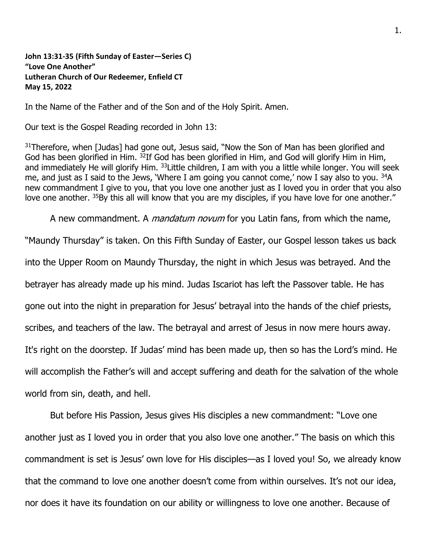**John 13:31-35 (Fifth Sunday of Easter—Series C) "Love One Another" Lutheran Church of Our Redeemer, Enfield CT May 15, 2022**

In the Name of the Father and of the Son and of the Holy Spirit. Amen.

Our text is the Gospel Reading recorded in John 13:

<sup>31</sup>Therefore, when [Judas] had gone out, Jesus said, "Now the Son of Man has been glorified and God has been glorified in Him. <sup>32</sup>If God has been glorified in Him, and God will glorify Him in Him, and immediately He will glorify Him. <sup>33</sup> Little children, I am with you a little while longer. You will seek me, and just as I said to the Jews, 'Where I am going you cannot come,' now I say also to you.  $34A$ new commandment I give to you, that you love one another just as I loved you in order that you also love one another. <sup>35</sup>By this all will know that you are my disciples, if you have love for one another."

A new commandment. A *mandatum novum* for you Latin fans, from which the name,

"Maundy Thursday" is taken. On this Fifth Sunday of Easter, our Gospel lesson takes us back into the Upper Room on Maundy Thursday, the night in which Jesus was betrayed. And the betrayer has already made up his mind. Judas Iscariot has left the Passover table. He has gone out into the night in preparation for Jesus' betrayal into the hands of the chief priests, scribes, and teachers of the law. The betrayal and arrest of Jesus in now mere hours away. It's right on the doorstep. If Judas' mind has been made up, then so has the Lord's mind. He will accomplish the Father's will and accept suffering and death for the salvation of the whole world from sin, death, and hell.

But before His Passion, Jesus gives His disciples a new commandment: "Love one another just as I loved you in order that you also love one another." The basis on which this commandment is set is Jesus' own love for His disciples—as I loved you! So, we already know that the command to love one another doesn't come from within ourselves. It's not our idea, nor does it have its foundation on our ability or willingness to love one another. Because of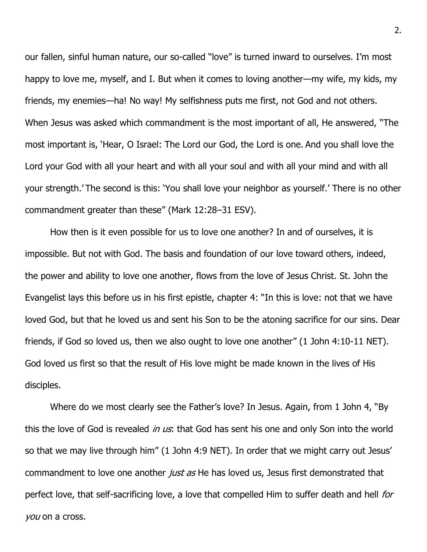our fallen, sinful human nature, our so-called "love" is turned inward to ourselves. I'm most happy to love me, myself, and I. But when it comes to loving another—my wife, my kids, my friends, my enemies—ha! No way! My selfishness puts me first, not God and not others. When Jesus was asked which commandment is the most important of all, He answered, "The most important is, 'Hear, O Israel: The Lord our God, the Lord is one. And you shall love the Lord your God with all your heart and with all your soul and with all your mind and with all your strength.' The second is this: 'You shall love your neighbor as yourself.' There is no other commandment greater than these" (Mark 12:28–31 ESV).

How then is it even possible for us to love one another? In and of ourselves, it is impossible. But not with God. The basis and foundation of our love toward others, indeed, the power and ability to love one another, flows from the love of Jesus Christ. St. John the Evangelist lays this before us in his first epistle, chapter 4: "In this is love: not that we have loved God, but that he loved us and sent his Son to be the atoning sacrifice for our sins. Dear friends, if God so loved us, then we also ought to love one another" (1 John 4:10-11 NET). God loved us first so that the result of His love might be made known in the lives of His disciples.

Where do we most clearly see the Father's love? In Jesus. Again, from 1 John 4, "By this the love of God is revealed *in us*: that God has sent his one and only Son into the world so that we may live through him" (1 John 4:9 NET). In order that we might carry out Jesus' commandment to love one another *just as* He has loved us, Jesus first demonstrated that perfect love, that self-sacrificing love, a love that compelled Him to suffer death and hell *for* you on a cross.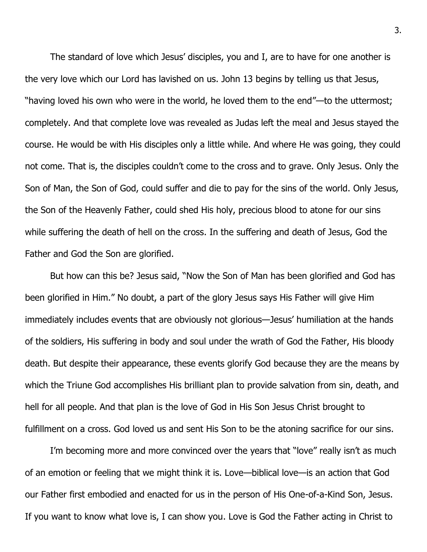The standard of love which Jesus' disciples, you and I, are to have for one another is the very love which our Lord has lavished on us. John 13 begins by telling us that Jesus, "having loved his own who were in the world, he loved them to the end"—to the uttermost; completely. And that complete love was revealed as Judas left the meal and Jesus stayed the course. He would be with His disciples only a little while. And where He was going, they could not come. That is, the disciples couldn't come to the cross and to grave. Only Jesus. Only the Son of Man, the Son of God, could suffer and die to pay for the sins of the world. Only Jesus, the Son of the Heavenly Father, could shed His holy, precious blood to atone for our sins while suffering the death of hell on the cross. In the suffering and death of Jesus, God the Father and God the Son are glorified.

But how can this be? Jesus said, "Now the Son of Man has been glorified and God has been glorified in Him." No doubt, a part of the glory Jesus says His Father will give Him immediately includes events that are obviously not glorious—Jesus' humiliation at the hands of the soldiers, His suffering in body and soul under the wrath of God the Father, His bloody death. But despite their appearance, these events glorify God because they are the means by which the Triune God accomplishes His brilliant plan to provide salvation from sin, death, and hell for all people. And that plan is the love of God in His Son Jesus Christ brought to fulfillment on a cross. God loved us and sent His Son to be the atoning sacrifice for our sins.

I'm becoming more and more convinced over the years that "love" really isn't as much of an emotion or feeling that we might think it is. Love—biblical love—is an action that God our Father first embodied and enacted for us in the person of His One-of-a-Kind Son, Jesus. If you want to know what love is, I can show you. Love is God the Father acting in Christ to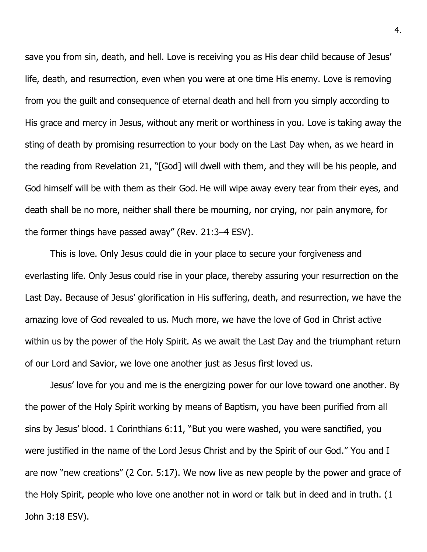save you from sin, death, and hell. Love is receiving you as His dear child because of Jesus' life, death, and resurrection, even when you were at one time His enemy. Love is removing from you the guilt and consequence of eternal death and hell from you simply according to His grace and mercy in Jesus, without any merit or worthiness in you. Love is taking away the sting of death by promising resurrection to your body on the Last Day when, as we heard in the reading from Revelation 21, "[God] will dwell with them, and they will be his people, and God himself will be with them as their God. He will wipe away every tear from their eyes, and death shall be no more, neither shall there be mourning, nor crying, nor pain anymore, for the former things have passed away" (Rev. 21:3–4 ESV).

This is love. Only Jesus could die in your place to secure your forgiveness and everlasting life. Only Jesus could rise in your place, thereby assuring your resurrection on the Last Day. Because of Jesus' glorification in His suffering, death, and resurrection, we have the amazing love of God revealed to us. Much more, we have the love of God in Christ active within us by the power of the Holy Spirit. As we await the Last Day and the triumphant return of our Lord and Savior, we love one another just as Jesus first loved us.

Jesus' love for you and me is the energizing power for our love toward one another. By the power of the Holy Spirit working by means of Baptism, you have been purified from all sins by Jesus' blood. 1 Corinthians 6:11, "But you were washed, you were sanctified, you were justified in the name of the Lord Jesus Christ and by the Spirit of our God." You and I are now "new creations" (2 Cor. 5:17). We now live as new people by the power and grace of the Holy Spirit, people who love one another not in word or talk but in deed and in truth. (1 John 3:18 ESV).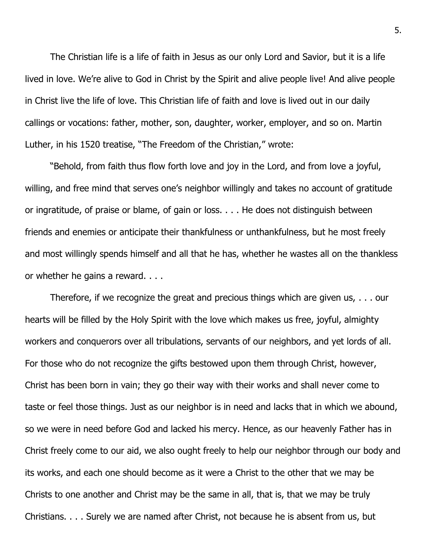The Christian life is a life of faith in Jesus as our only Lord and Savior, but it is a life lived in love. We're alive to God in Christ by the Spirit and alive people live! And alive people in Christ live the life of love. This Christian life of faith and love is lived out in our daily callings or vocations: father, mother, son, daughter, worker, employer, and so on. Martin Luther, in his 1520 treatise, "The Freedom of the Christian," wrote:

"Behold, from faith thus flow forth love and joy in the Lord, and from love a joyful, willing, and free mind that serves one's neighbor willingly and takes no account of gratitude or ingratitude, of praise or blame, of gain or loss. . . . He does not distinguish between friends and enemies or anticipate their thankfulness or unthankfulness, but he most freely and most willingly spends himself and all that he has, whether he wastes all on the thankless or whether he gains a reward. . . .

Therefore, if we recognize the great and precious things which are given us, . . . our hearts will be filled by the Holy Spirit with the love which makes us free, joyful, almighty workers and conquerors over all tribulations, servants of our neighbors, and yet lords of all. For those who do not recognize the gifts bestowed upon them through Christ, however, Christ has been born in vain; they go their way with their works and shall never come to taste or feel those things. Just as our neighbor is in need and lacks that in which we abound, so we were in need before God and lacked his mercy. Hence, as our heavenly Father has in Christ freely come to our aid, we also ought freely to help our neighbor through our body and its works, and each one should become as it were a Christ to the other that we may be Christs to one another and Christ may be the same in all, that is, that we may be truly Christians. . . . Surely we are named after Christ, not because he is absent from us, but